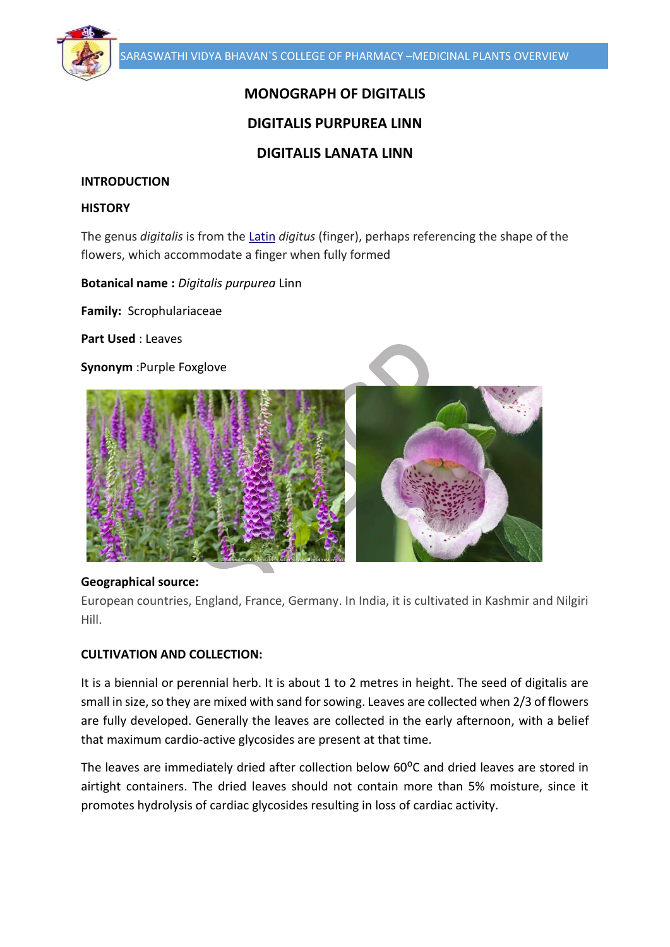# **MONOGRAPH OF DIGITALIS**

# **DIGITALIS PURPUREA LINN**

# **DIGITALIS LANATA LINN**

## **INTRODUCTION**

#### **HISTORY**

The genus *digitalis* is from the [Latin](https://en.wikipedia.org/wiki/Latin_language) *digitus* (finger), perhaps referencing the shape of the flowers, which accommodate a finger when fully formed

**Botanical name :** *Digitalis purpurea* Linn

**Family:** Scrophulariaceae

**Part Used** : Leaves

**Synonym** :Purple Foxglove



#### **Geographical source:**

European countries, England, France, Germany. In India, it is cultivated in Kashmir and Nilgiri Hill.

#### **CULTIVATION AND COLLECTION:**

It is a biennial or perennial herb. It is about 1 to 2 metres in height. The seed of digitalis are small in size, so they are mixed with sand for sowing. Leaves are collected when 2/3 of flowers are fully developed. Generally the leaves are collected in the early afternoon, with a belief that maximum cardio-active glycosides are present at that time.

The leaves are immediately dried after collection below 60<sup>o</sup>C and dried leaves are stored in airtight containers. The dried leaves should not contain more than 5% moisture, since it promotes hydrolysis of cardiac glycosides resulting in loss of cardiac activity.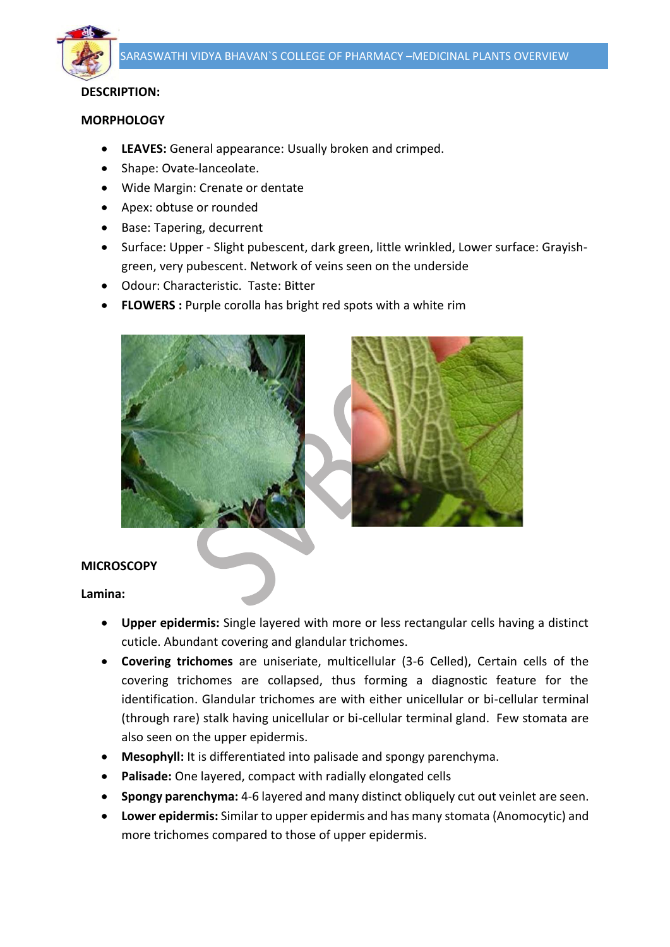

## **DESCRIPTION:**

#### **MORPHOLOGY**

- **LEAVES:** General appearance: Usually broken and crimped.
- Shape: Ovate-lanceolate.
- Wide Margin: Crenate or dentate
- Apex: obtuse or rounded
- Base: Tapering, decurrent
- Surface: Upper Slight pubescent, dark green, little wrinkled, Lower surface: Grayishgreen, very pubescent. Network of veins seen on the underside
- Odour: Characteristic. Taste: Bitter
- **FLOWERS :** Purple corolla has bright red spots with a white rim



#### **MICROSCOPY**

#### **Lamina:**

- **Upper epidermis:** Single layered with more or less rectangular cells having a distinct cuticle. Abundant covering and glandular trichomes.
- **Covering trichomes** are uniseriate, multicellular (3-6 Celled), Certain cells of the covering trichomes are collapsed, thus forming a diagnostic feature for the identification. Glandular trichomes are with either unicellular or bi-cellular terminal (through rare) stalk having unicellular or bi-cellular terminal gland. Few stomata are also seen on the upper epidermis.
- **Mesophyll:** It is differentiated into palisade and spongy parenchyma.
- **Palisade:** One layered, compact with radially elongated cells
- **Spongy parenchyma:** 4-6 layered and many distinct obliquely cut out veinlet are seen.
- **Lower epidermis:** Similar to upper epidermis and has many stomata (Anomocytic) and more trichomes compared to those of upper epidermis.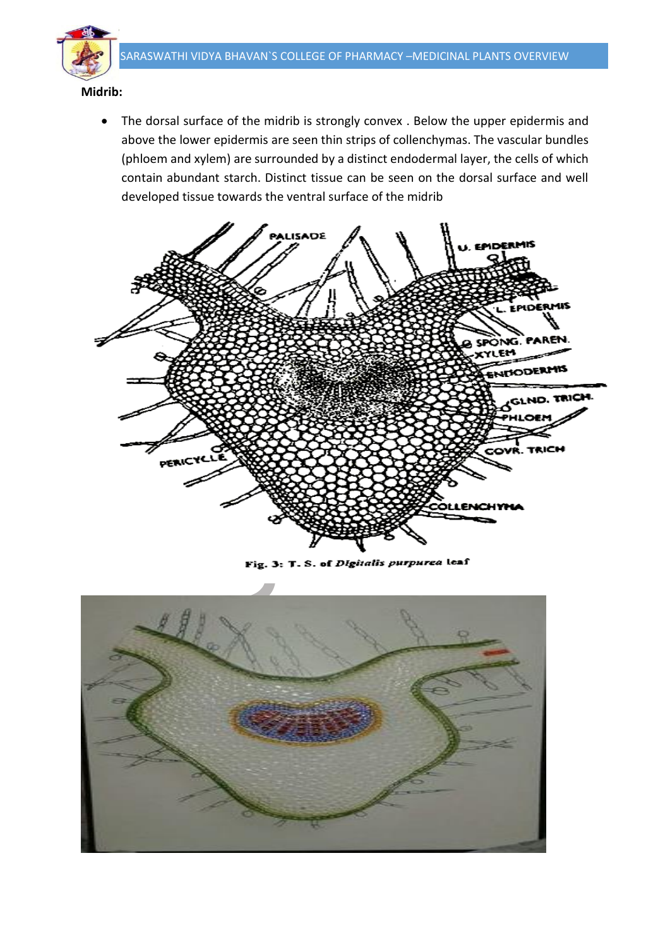

 The dorsal surface of the midrib is strongly convex . Below the upper epidermis and above the lower epidermis are seen thin strips of collenchymas. The vascular bundles (phloem and xylem) are surrounded by a distinct endodermal layer, the cells of which contain abundant starch. Distinct tissue can be seen on the dorsal surface and well developed tissue towards the ventral surface of the midrib



Fig. 3: T. S. of Digitalis purpurea leaf

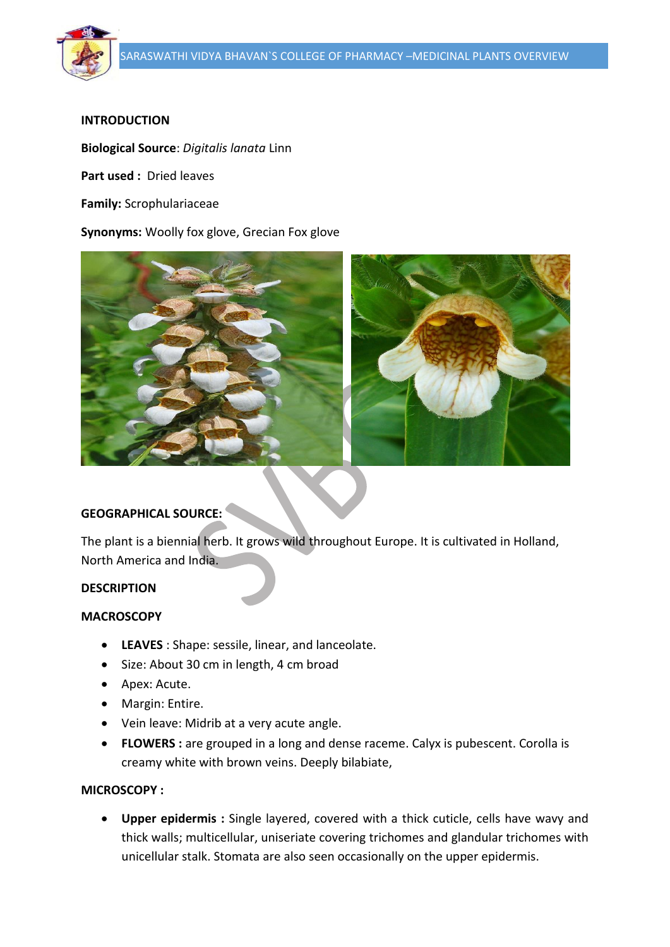

## **INTRODUCTION**

**Biological Source**: *Digitalis lanata* Linn

**Part used :** Dried leaves

**Family:** Scrophulariaceae

**Synonyms:** Woolly fox glove, Grecian Fox glove



## **GEOGRAPHICAL SOURCE:**

The plant is a biennial herb. It grows wild throughout Europe. It is cultivated in Holland, North America and India.

#### **DESCRIPTION**

#### **MACROSCOPY**

- **LEAVES** : Shape: sessile, linear, and lanceolate.
- Size: About 30 cm in length, 4 cm broad
- Apex: Acute.
- Margin: Entire.
- Vein leave: Midrib at a very acute angle.
- **FLOWERS :** are grouped in a long and dense raceme. Calyx is pubescent. Corolla is creamy white with brown veins. Deeply bilabiate,

#### **MICROSCOPY :**

 **Upper epidermis :** Single layered, covered with a thick cuticle, cells have wavy and thick walls; multicellular, uniseriate covering trichomes and glandular trichomes with unicellular stalk. Stomata are also seen occasionally on the upper epidermis.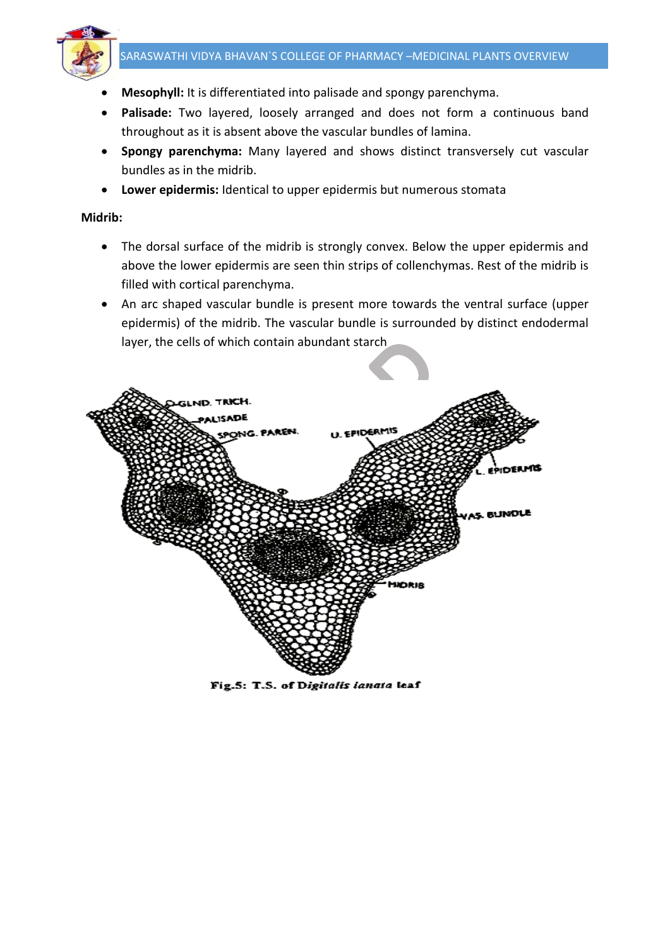

- **Mesophyll:** It is differentiated into palisade and spongy parenchyma.
- **Palisade:** Two layered, loosely arranged and does not form a continuous band throughout as it is absent above the vascular bundles of lamina.
- **Spongy parenchyma:** Many layered and shows distinct transversely cut vascular bundles as in the midrib.
- **Lower epidermis:** Identical to upper epidermis but numerous stomata

#### **Midrib:**

- The dorsal surface of the midrib is strongly convex. Below the upper epidermis and above the lower epidermis are seen thin strips of collenchymas. Rest of the midrib is filled with cortical parenchyma.
- An arc shaped vascular bundle is present more towards the ventral surface (upper epidermis) of the midrib. The vascular bundle is surrounded by distinct endodermal layer, the cells of which contain abundant starch



Fig.5: T.S. of Digitalis lanata leaf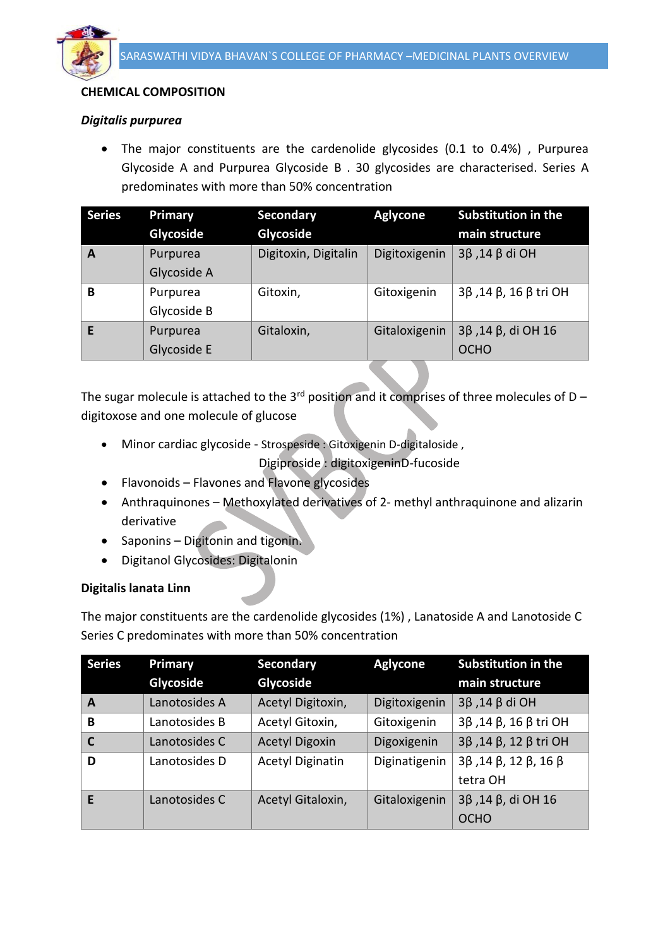

# **CHEMICAL COMPOSITION**

### *Digitalis purpurea*

 The major constituents are the cardenolide glycosides (0.1 to 0.4%) , Purpurea Glycoside A and Purpurea Glycoside B . 30 glycosides are characterised. Series A predominates with more than 50% concentration

| <b>Series</b> | Primary     | Secondary            | <b>Aglycone</b> | <b>Substitution in the</b> |
|---------------|-------------|----------------------|-----------------|----------------------------|
|               | Glycoside   | Glycoside            |                 | main structure             |
| A             | Purpurea    | Digitoxin, Digitalin | Digitoxigenin   | $3β$ , 14 β di OH          |
|               | Glycoside A |                      |                 |                            |
| B             | Purpurea    | Gitoxin,             | Gitoxigenin     | 3β, 14 β, 16 β tri OH      |
|               | Glycoside B |                      |                 |                            |
| F             | Purpurea    | Gitaloxin,           | Gitaloxigenin   | 3β, 14 β, di OH 16         |
|               | Glycoside E |                      |                 | <b>OCHO</b>                |

The sugar molecule is attached to the 3<sup>rd</sup> position and it comprises of three molecules of D digitoxose and one molecule of glucose

Minor cardiac glycoside - Strospeside : Gitoxigenin D-digitaloside ,

Digiproside : digitoxigeninD-fucoside

- Flavonoids Flavones and Flavone glycosides
- Anthraquinones Methoxylated derivatives of 2- methyl anthraquinone and alizarin derivative
- Saponins Digitonin and tigonin.
- Digitanol Glycosides: Digitalonin

#### **Digitalis lanata Linn**

The major constituents are the cardenolide glycosides (1%) , Lanatoside A and Lanotoside C Series C predominates with more than 50% concentration

| <b>Series</b>  | Primary       | <b>Secondary</b>        | <b>Aglycone</b> | <b>Substitution in the</b>                      |
|----------------|---------------|-------------------------|-----------------|-------------------------------------------------|
|                | Glycoside     | Glycoside               |                 | main structure                                  |
| A              | Lanotosides A | Acetyl Digitoxin,       | Digitoxigenin   | $3\beta$ , 14 β di OH                           |
| B              | Lanotosides B | Acetyl Gitoxin,         | Gitoxigenin     | 3β, 14 β, 16 β tri OH                           |
| $\overline{c}$ | Lanotosides C | <b>Acetyl Digoxin</b>   | Digoxigenin     | 3β, 14 β, 12 β tri OH                           |
| D              | Lanotosides D | <b>Acetyl Diginatin</b> | Diginatigenin   | $3\beta$ , 14 $\beta$ , 12 $\beta$ , 16 $\beta$ |
|                |               |                         |                 | tetra OH                                        |
| E              | Lanotosides C | Acetyl Gitaloxin,       | Gitaloxigenin   | $3\beta$ , 14 $\beta$ , di OH 16                |
|                |               |                         |                 | <b>OCHO</b>                                     |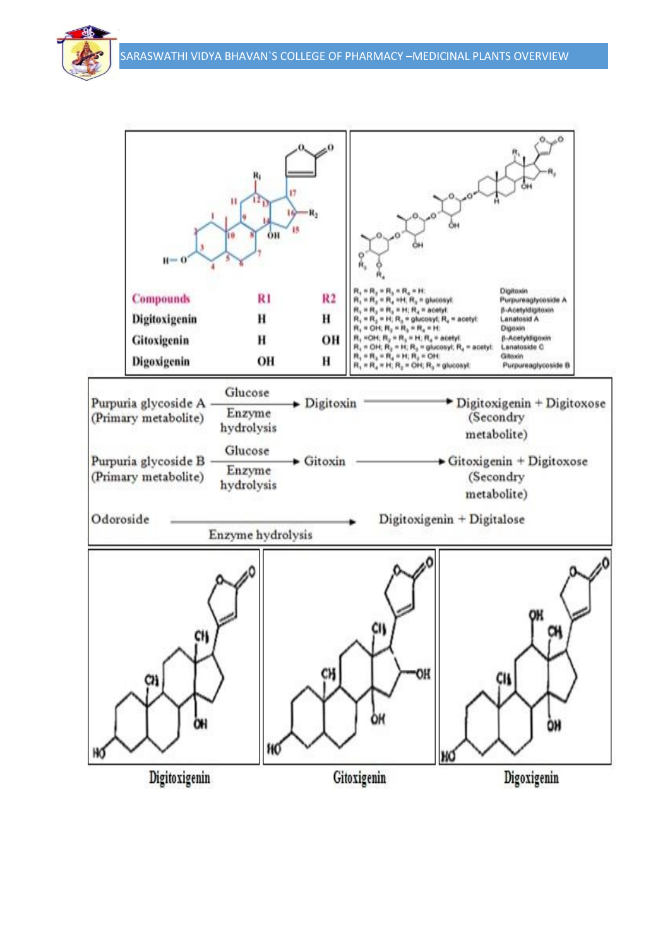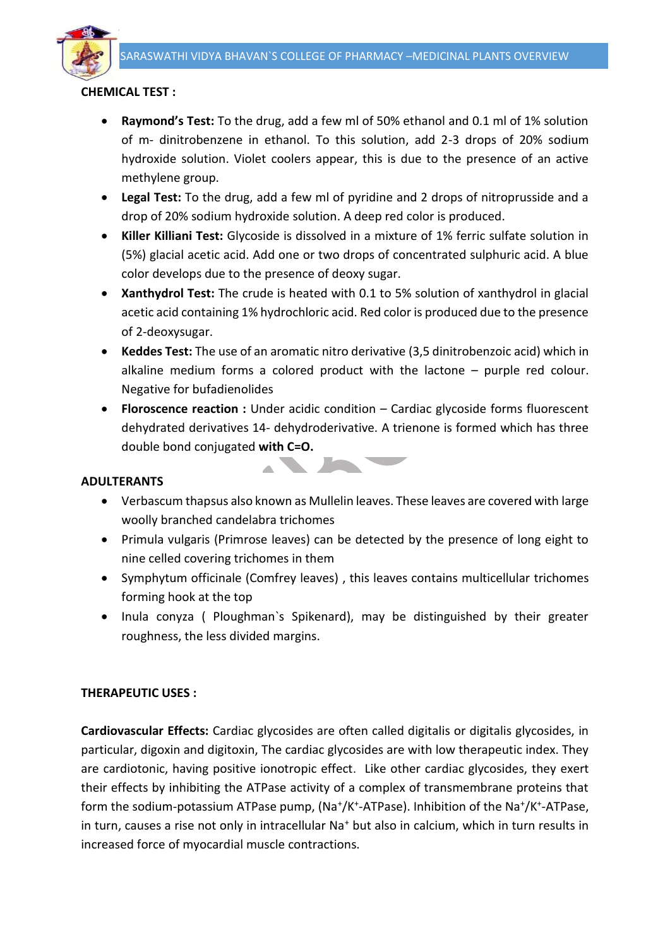

## **CHEMICAL TEST :**

- **Raymond's Test:** To the drug, add a few ml of 50% ethanol and 0.1 ml of 1% solution of m- dinitrobenzene in ethanol. To this solution, add 2-3 drops of 20% sodium hydroxide solution. Violet coolers appear, this is due to the presence of an active methylene group.
- **Legal Test:** To the drug, add a few ml of pyridine and 2 drops of nitroprusside and a drop of 20% sodium hydroxide solution. A deep red color is produced.
- **Killer Killiani Test:** Glycoside is dissolved in a mixture of 1% ferric sulfate solution in (5%) glacial acetic acid. Add one or two drops of concentrated sulphuric acid. A blue color develops due to the presence of deoxy sugar.
- **Xanthydrol Test:** The crude is heated with 0.1 to 5% solution of xanthydrol in glacial acetic acid containing 1% hydrochloric acid. Red color is produced due to the presence of 2-deoxysugar.
- **Keddes Test:** The use of an aromatic nitro derivative (3,5 dinitrobenzoic acid) which in alkaline medium forms a colored product with the lactone – purple red colour. Negative for bufadienolides
- **Floroscence reaction :** Under acidic condition Cardiac glycoside forms fluorescent dehydrated derivatives 14- dehydroderivative. A trienone is formed which has three double bond conjugated **with C=O.**

### **ADULTERANTS**



- Verbascum thapsus also known as Mullelin leaves. These leaves are covered with large woolly branched candelabra trichomes
- Primula vulgaris (Primrose leaves) can be detected by the presence of long eight to nine celled covering trichomes in them
- Symphytum officinale (Comfrey leaves) , this leaves contains multicellular trichomes forming hook at the top
- Inula conyza ( Ploughman's Spikenard), may be distinguished by their greater roughness, the less divided margins.

## **THERAPEUTIC USES :**

**Cardiovascular Effects:** Cardiac glycosides are often called digitalis or digitalis glycosides, in particular, digoxin and digitoxin, The cardiac glycosides are with low therapeutic index. They are cardiotonic, having positive ionotropic effect. Like other cardiac glycosides, they exert their effects by inhibiting the ATPase activity of a complex of transmembrane proteins that form the sodium-potassium ATPase pump, (Na<sup>+</sup>/K<sup>+</sup>-ATPase). Inhibition of the Na<sup>+</sup>/K<sup>+</sup>-ATPase, in turn, causes a rise not only in intracellular Na<sup>+</sup> but also in calcium, which in turn results in increased force of myocardial muscle contractions.